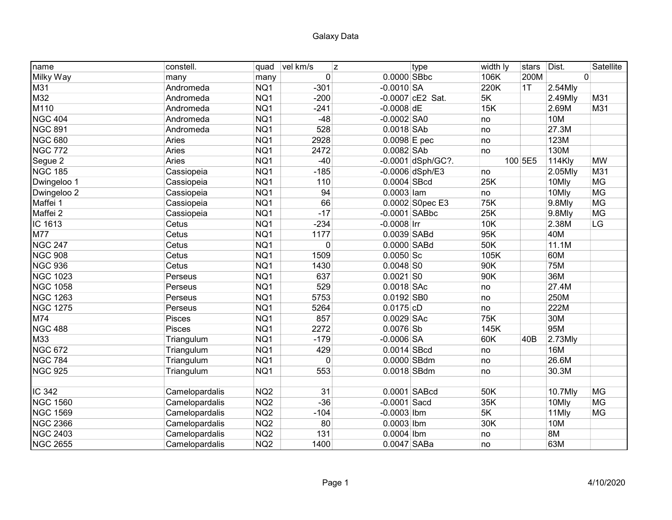| name            | constell.      | quad            | vel km/s<br>z |                | type               | width ly | stars   | Dist.      | Satellite |
|-----------------|----------------|-----------------|---------------|----------------|--------------------|----------|---------|------------|-----------|
| Milky Way       | many           | many            | 0             | $0.0000$ SBbc  |                    | 106K     | 200M    |            | 0         |
| M31             | Andromeda      | NQ1             | $-301$        | $-0.0010$ SA   |                    | 220K     | 1T      | 2.54Mly    |           |
| M32             | Andromeda      | NQ1             | $-200$        |                | $-0.0007$ cE2 Sat. | 5K       |         | 2.49Mly    | M31       |
| M110            | Andromeda      | NQ1             | $-241$        | $-0.0008$ dE   |                    | 15K      |         | 2.69M      | M31       |
| <b>NGC 404</b>  | Andromeda      | NQ1             | $-48$         | $-0.0002$ SA0  |                    | no       |         | <b>10M</b> |           |
| <b>NGC 891</b>  | Andromeda      | NQ1             | 528           | $0.0018$ SAb   |                    | no       |         | 27.3M      |           |
| <b>NGC 680</b>  | Aries          | NQ1             | 2928          | $0.0098$ E pec |                    | no       |         | 123M       |           |
| <b>NGC 772</b>  | Aries          | NQ1             | 2472          | $0.0082$ SAb   |                    | no       |         | 130M       |           |
| Segue 2         | Aries          | NQ1             | $-40$         |                | -0.0001 dSph/GC?.  |          | 100 5E5 | 114Kly     | <b>MW</b> |
| <b>NGC 185</b>  | Cassiopeia     | NQ1             | $-185$        |                | $-0.0006$ dSph/E3  | no       |         | 2.05Mly    | M31       |
| Dwingeloo 1     | Cassiopeia     | NQ1             | 110           | $0.0004$ SBcd  |                    | 25K      |         | 10Mly      | <b>MG</b> |
| Dwingeloo 2     | Cassiopeia     | NQ1             | 94            | $0.0003$ lam   |                    | no       |         | 10Mly      | <b>MG</b> |
| Maffei 1        | Cassiopeia     | NQ1             | 66            |                | 0.0002 S0pec E3    | 75K      |         | 9.8Mly     | <b>MG</b> |
| Maffei 2        | Cassiopeia     | NQ1             | $-17$         |                | $-0.0001$ SABbc    | 25K      |         | 9.8Mly     | <b>MG</b> |
| IC 1613         | Cetus          | NQ1             | $-234$        | $-0.0008$ Irr  |                    | 10K      |         | 2.38M      | LG        |
| <b>M77</b>      | Cetus          | NQ1             | 1177          | $0.0039$ SABd  |                    | 95K      |         | 40M        |           |
| <b>NGC 247</b>  | Cetus          | NQ1             | $\mathbf{0}$  | $0.0000$ SABd  |                    | 50K      |         | 11.1M      |           |
| <b>NGC 908</b>  | Cetus          | NQ1             | 1509          | $0.0050$ Sc    |                    | 105K     |         | 60M        |           |
| <b>NGC 936</b>  | Cetus          | NQ1             | 1430          | $0.0048$ SO    |                    | 90K      |         | 75M        |           |
| <b>NGC 1023</b> | Perseus        | NQ1             | 637           | $0.0021$ SO    |                    | 90K      |         | 36M        |           |
| <b>NGC 1058</b> | Perseus        | NQ1             | 529           | $0.0018$ SAc   |                    | no       |         | 27.4M      |           |
| <b>NGC 1263</b> | Perseus        | NQ1             | 5753          | $0.0192$ SB0   |                    | no       |         | 250M       |           |
| <b>NGC 1275</b> | Perseus        | NQ1             | 5264          | $0.0175$ cD    |                    | no       |         | 222M       |           |
| M74             | <b>Pisces</b>  | NQ1             | 857           | $0.0029$ SAc   |                    | 75K      |         | 30M        |           |
| <b>NGC 488</b>  | Pisces         | NQ1             | 2272          | $0.0076$ Sb    |                    | 145K     |         | 95M        |           |
| M33             | Triangulum     | NQ1             | $-179$        | $-0.0006$ SA   |                    | 60K      | 40B     | 2.73Mly    |           |
| <b>NGC 672</b>  | Triangulum     | NQ1             | 429           | $0.0014$ SBcd  |                    | no       |         | <b>16M</b> |           |
| <b>NGC 784</b>  | Triangulum     | NQ1             | $\Omega$      | 0.0000 SBdm    |                    | no       |         | 26.6M      |           |
| <b>NGC 925</b>  | Triangulum     | NQ1             | 553           | 0.0018 SBdm    |                    | no       |         | 30.3M      |           |
|                 |                |                 |               |                |                    |          |         |            |           |
| IC 342          | Camelopardalis | NQ <sub>2</sub> | 31            |                | 0.0001 SABcd       | 50K      |         | 10.7Mly    | <b>MG</b> |
| <b>NGC 1560</b> | Camelopardalis | NQ <sub>2</sub> | $-36$         | $-0.0001$ Sacd |                    | 35K      |         | 10Mly      | <b>MG</b> |
| <b>NGC 1569</b> | Camelopardalis | NQ <sub>2</sub> | $-104$        | $-0.0003$ Ibm  |                    | 5K       |         | 11Mly      | MG        |
| <b>NGC 2366</b> | Camelopardalis | NQ <sub>2</sub> | 80            | $0.0003$ Ibm   |                    | 30K      |         | 10M        |           |
| <b>NGC 2403</b> | Camelopardalis | NQ <sub>2</sub> | 131           | $0.0004$ Ibm   |                    | no       |         | 8M         |           |
| <b>NGC 2655</b> | Camelopardalis | NQ <sub>2</sub> | 1400          | $0.0047$ SABa  |                    | no       |         | 63M        |           |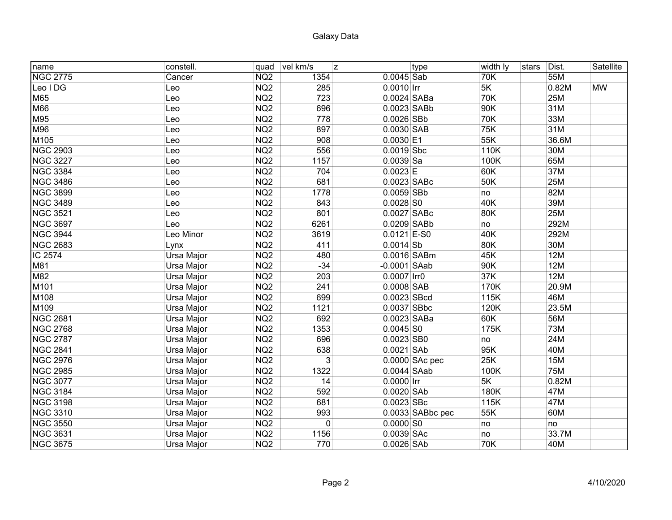| name            | constell.  | ∣quad           | vel km/s    | z              | type               | width ly | stars | Dist.      | Satellite |
|-----------------|------------|-----------------|-------------|----------------|--------------------|----------|-------|------------|-----------|
| <b>NGC 2775</b> | Cancer     | NQ <sub>2</sub> | 1354        | $0.0045$ Sab   |                    | 70K      |       | 55M        |           |
| Leo IDG         | Leo        | NQ <sub>2</sub> | 285         | $0.0010$ Irr   |                    | 5K       |       | 0.82M      | <b>MW</b> |
| M65             | Leo        | NQ <sub>2</sub> | 723         | 0.0024 SABa    |                    | 70K      |       | 25M        |           |
| M66             | Leo        | NQ <sub>2</sub> | 696         | 0.0023 SABb    |                    | 90K      |       | 31M        |           |
| M95             | Leo        | NQ <sub>2</sub> | 778         | $0.0026$ SBb   |                    | 70K      |       | 33M        |           |
| M96             | Leo        | NQ <sub>2</sub> | 897         | $0.0030$ SAB   |                    | 75K      |       | 31M        |           |
| M105            | Leo        | NQ <sub>2</sub> | 908         | $0.0030$ E1    |                    | 55K      |       | 36.6M      |           |
| <b>NGC 2903</b> | Leo        | NQ <sub>2</sub> | 556         | $0.0019$ Sbc   |                    | 110K     |       | 30M        |           |
| <b>NGC 3227</b> | Leo        | NQ <sub>2</sub> | 1157        | $0.0039$ Sa    |                    | 100K     |       | 65M        |           |
| <b>NGC 3384</b> | Leo        | NQ <sub>2</sub> | 704         | $0.0023$ E     |                    | 60K      |       | 37M        |           |
| <b>NGC 3486</b> | Leo        | NQ <sub>2</sub> | 681         | 0.0023 SABc    |                    | 50K      |       | 25M        |           |
| <b>NGC 3899</b> | Leo        | NQ <sub>2</sub> | 1778        | $0.0059$ SBb   |                    | no       |       | 82M        |           |
| <b>NGC 3489</b> | Leo        | NQ <sub>2</sub> | 843         | $0.0028$ SO    |                    | 40K      |       | 39M        |           |
| <b>NGC 3521</b> | Leo        | NQ <sub>2</sub> | 801         | $0.0027$ SABc  |                    | 80K      |       | 25M        |           |
| <b>NGC 3697</b> | Leo        | NQ <sub>2</sub> | 6261        | 0.0209 SABb    |                    | no       |       | 292M       |           |
| <b>NGC 3944</b> | Leo Minor  | NQ <sub>2</sub> | 3619        | $0.0121$ E-S0  |                    | 40K      |       | 292M       |           |
| <b>NGC 2683</b> | Lynx       | NQ <sub>2</sub> | 411         | $0.0014$ Sb    |                    | 80K      |       | 30M        |           |
| IC 2574         | Ursa Major | NQ <sub>2</sub> | 480         | $0.0016$ SABm  |                    | 45K      |       | <b>12M</b> |           |
| M81             | Ursa Major | NQ <sub>2</sub> | $-34$       | $-0.0001$ SAab |                    | 90K      |       | <b>12M</b> |           |
| M82             | Ursa Major | NQ <sub>2</sub> | 203         | 0.0007 Irr0    |                    | 37K      |       | 12M        |           |
| M101            | Ursa Major | NQ <sub>2</sub> | 241         | $0.0008$ SAB   |                    | 170K     |       | 20.9M      |           |
| M108            | Ursa Major | NQ <sub>2</sub> | 699         | $0.0023$ SBcd  |                    | 115K     |       | 46M        |           |
| M109            | Ursa Major | NQ <sub>2</sub> | 1121        | $0.0037$ SBbc  |                    | 120K     |       | 23.5M      |           |
| <b>NGC 2681</b> | Ursa Major | NQ <sub>2</sub> | 692         | 0.0023 SABa    |                    | 60K      |       | 56M        |           |
| <b>NGC 2768</b> | Ursa Major | NQ <sub>2</sub> | 1353        | $0.0045$ SO    |                    | 175K     |       | 73M        |           |
| <b>NGC 2787</b> | Ursa Major | NQ <sub>2</sub> | 696         | $0.0023$ SB0   |                    | no       |       | 24M        |           |
| <b>NGC 2841</b> | Ursa Major | NQ <sub>2</sub> | 638         | $0.0021$ SAb   |                    | 95K      |       | 40M        |           |
| <b>NGC 2976</b> | Ursa Major | NQ <sub>2</sub> | 3           |                | 0.0000 SAc pec     | 25K      |       | <b>15M</b> |           |
| <b>NGC 2985</b> | Ursa Major | NQ <sub>2</sub> | 1322        | $0.0044$ SAab  |                    | 100K     |       | <b>75M</b> |           |
| <b>NGC 3077</b> | Ursa Major | NQ <sub>2</sub> | 14          | $0.0000$ Irr   |                    | 5K       |       | 0.82M      |           |
| <b>NGC 3184</b> | Ursa Major | NQ <sub>2</sub> | 592         | $0.0020$ SAb   |                    | 180K     |       | 47M        |           |
| <b>NGC 3198</b> | Ursa Major | NQ <sub>2</sub> | 681         | $0.0023$ SBc   |                    | 115K     |       | 47M        |           |
| <b>NGC 3310</b> | Ursa Major | NQ <sub>2</sub> | 993         |                | $0.0033$ SABbc pec | 55K      |       | 60M        |           |
| <b>NGC 3550</b> | Ursa Major | NQ <sub>2</sub> | $\mathbf 0$ | $0.0000$ SO    |                    | no       |       | no         |           |
| <b>NGC 3631</b> | Ursa Major | NQ <sub>2</sub> | 1156        | $0.0039$ SAc   |                    | no       |       | 33.7M      |           |
| <b>NGC 3675</b> | Ursa Major | NQ <sub>2</sub> | 770         | $0.0026$ SAb   |                    | 70K      |       | 40M        |           |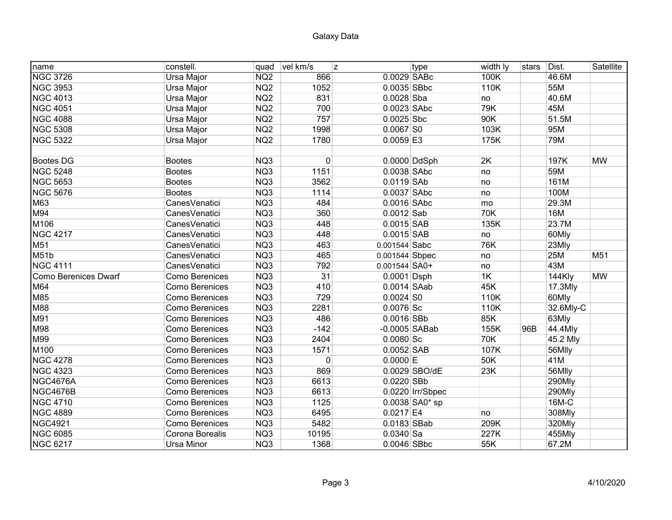| name                        | constell.             | quad            | vel km/s<br>z |                 | type             | width ly | stars | Dist.      | Satellite       |
|-----------------------------|-----------------------|-----------------|---------------|-----------------|------------------|----------|-------|------------|-----------------|
| <b>NGC 3726</b>             | Ursa Major            | NQ <sub>2</sub> | 866           | 0.0029 SABc     |                  | 100K     |       | 46.6M      |                 |
| <b>NGC 3953</b>             | Ursa Major            | NQ <sub>2</sub> | 1052          | $0.0035$ SBbc   |                  | 110K     |       | 55M        |                 |
| <b>NGC 4013</b>             | Ursa Major            | NQ <sub>2</sub> | 831           | $0.0028$ Sba    |                  | no       |       | 40.6M      |                 |
| <b>NGC 4051</b>             | Ursa Major            | NQ <sub>2</sub> | 700           | $0.0023$ SAbc   |                  | 79K      |       | 45M        |                 |
| <b>NGC 4088</b>             | Ursa Major            | NQ <sub>2</sub> | 757           | $0.0025$ Sbc    |                  | 90K      |       | 51.5M      |                 |
| <b>NGC 5308</b>             | Ursa Major            | NQ <sub>2</sub> | 1998          | $0.0067$ SO     |                  | 103K     |       | 95M        |                 |
| <b>NGC 5322</b>             | Ursa Major            | NQ <sub>2</sub> | 1780          | $0.0059$ E3     |                  | 175K     |       | 79M        |                 |
|                             |                       |                 |               |                 |                  |          |       |            |                 |
| <b>Bootes DG</b>            | <b>Bootes</b>         | NQ3             | $\mathbf 0$   |                 | $0.0000$ DdSph   | 2K       |       | 197K       | <b>MW</b>       |
| <b>NGC 5248</b>             | <b>Bootes</b>         | NQ3             | 1151          | $0.0038$ SAbc   |                  | no       |       | 59M        |                 |
| <b>NGC 5653</b>             | <b>Bootes</b>         | NQ3             | 3562          | $0.0119$ SAb    |                  | no       |       | 161M       |                 |
| <b>NGC 5676</b>             | <b>Bootes</b>         | NQ3             | 1114          | $0.0037$ SAbc   |                  | no       |       | 100M       |                 |
| M63                         | CanesVenatici         | NQ3             | 484           | $0.0016$ SAbc   |                  | mo       |       | 29.3M      |                 |
| M94                         | CanesVenatici         | NQ3             | 360           | $0.0012$ Sab    |                  | 70K      |       | 16M        |                 |
| M106                        | CanesVenatici         | NQ3             | 448           | $0.0015$ SAB    |                  | 135K     |       | 23.7M      |                 |
| <b>NGC 4217</b>             | Canes Venatici        | NQ3             | 448           | $0.0015$ SAB    |                  | no       |       | 60Mly      |                 |
| M51                         | CanesVenatici         | NQ3             | 463           | $0.001544$ Sabc |                  | 76K      |       | 23Mly      |                 |
| M51b                        | CanesVenatici         | NQ3             | 465           | 0.001544 Sbpec  |                  | no       |       | 25M        | M <sub>51</sub> |
| <b>NGC 4111</b>             | Canes Venatici        | NQ3             | 792           | $0.001544$ SA0+ |                  | no       |       | 43M        |                 |
| <b>Como Berenices Dwarf</b> | Como Berenices        | NQ3             | 31            | $0.0001$ Dsph   |                  | 1K       |       | 144Kly     | <b>MW</b>       |
| M64                         | Como Berenices        | NQ3             | 410           | $0.0014$ SAab   |                  | 45K      |       | $17.3$ Mly |                 |
| M85                         | <b>Como Berenices</b> | NQ3             | 729           | $0.0024$ SO     |                  | 110K     |       | 60Mly      |                 |
| M88                         | <b>Como Berenices</b> | NQ3             | 2281          | $0.0076$ Sc     |                  | 110K     |       | 32.6Mly-C  |                 |
| M91                         | <b>Como Berenices</b> | NQ3             | 486           | $0.0016$ SBb    |                  | 85K      |       | 63Mly      |                 |
| M98                         | Como Berenices        | NQ3             | $-142$        | $-0.0005$ SABab |                  | 155K     | 96B   | 44.4Mly    |                 |
| M99                         | Como Berenices        | NQ3             | 2404          | $0.0080$ Sc     |                  | 70K      |       | 45.2 Mly   |                 |
| M100                        | <b>Como Berenices</b> | NQ3             | 1571          | $0.0052$ SAB    |                  | 107K     |       | 56Mlly     |                 |
| <b>NGC 4278</b>             | <b>Como Berenices</b> | NQ3             | $\mathbf{0}$  | $0.0000$ E      |                  | 50K      |       | 41M        |                 |
| <b>NGC 4323</b>             | <b>Como Berenices</b> | NQ3             | 869           |                 | 0.0029 SBO/dE    | 23K      |       | 56Mlly     |                 |
| NGC4676A                    | <b>Como Berenices</b> | NQ3             | 6613          | $0.0220$ SBb    |                  |          |       | 290Mly     |                 |
| NGC4676B                    | <b>Como Berenices</b> | NQ3             | 6613          |                 | 0.0220 Irr/Sbpec |          |       | 290Mly     |                 |
| <b>NGC 4710</b>             | <b>Como Berenices</b> | NQ3             | 1125          |                 | $0.0038$ SA0* sp |          |       | 16M-C      |                 |
| <b>NGC 4889</b>             | <b>Como Berenices</b> | NQ3             | 6495          | $0.0217$ E4     |                  | no       |       | 308Mly     |                 |
| <b>NGC4921</b>              | <b>Como Berenices</b> | NQ3             | 5482          | $0.0183$ SBab   |                  | 209K     |       | 320Mly     |                 |
| <b>NGC 6085</b>             | Corona Borealis       | NQ3             | 10195         | $0.0340$ Sa     |                  | 227K     |       | 455Mly     |                 |
| <b>NGC 6217</b>             | <b>Ursa Minor</b>     | NQ3             | 1368          | $0.0046$ SBbc   |                  | 55K      |       | 67.2M      |                 |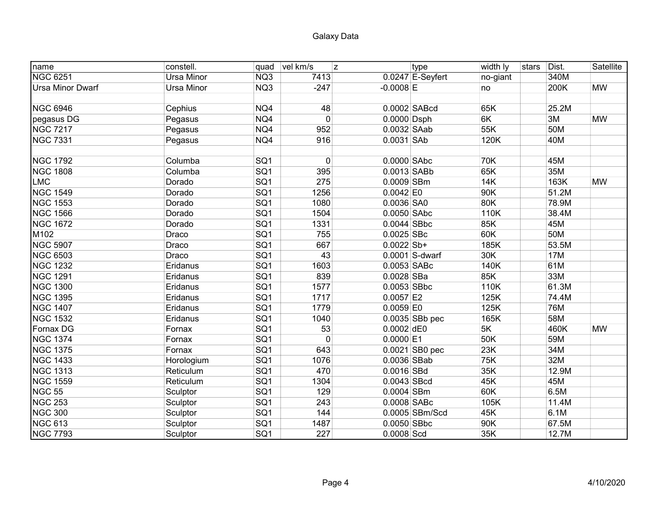| name                    | constell.  | quad            | vel km/s     | z.            | type               | width ly | stars | Dist. | Satellite |
|-------------------------|------------|-----------------|--------------|---------------|--------------------|----------|-------|-------|-----------|
| <b>NGC 6251</b>         | Ursa Minor | NQ3             | 7413         |               | $0.0247$ E-Seyfert | no-giant |       | 340M  |           |
| <b>Ursa Minor Dwarf</b> | Ursa Minor | NQ3             | $-247$       | $-0.0008$ E   |                    | no       |       | 200K  | <b>MW</b> |
|                         |            |                 |              |               |                    |          |       |       |           |
| <b>NGC 6946</b>         | Cephius    | NQ4             | 48           |               | 0.0002 SABcd       | 65K      |       | 25.2M |           |
| pegasus DG              | Pegasus    | NQ4             | $\mathbf{0}$ | $0.0000$ Dsph |                    | 6K       |       | 3M    | <b>MW</b> |
| <b>NGC 7217</b>         | Pegasus    | NQ4             | 952          | $0.0032$ SAab |                    | 55K      |       | 50M   |           |
| <b>NGC 7331</b>         | Pegasus    | NQ4             | 916          | $0.0031$ SAb  |                    | 120K     |       | 40M   |           |
|                         |            |                 |              |               |                    |          |       |       |           |
| <b>NGC 1792</b>         | Columba    | SQ <sub>1</sub> | 0            | $0.0000$ SAbc |                    | 70K      |       | 45M   |           |
| <b>NGC 1808</b>         | Columba    | SQ <sub>1</sub> | 395          | $0.0013$ SABb |                    | 65K      |       | 35M   |           |
| <b>LMC</b>              | Dorado     | SQ1             | 275          | 0.0009 SBm    |                    | 14K      |       | 163K  | <b>MW</b> |
| <b>NGC 1549</b>         | Dorado     | SQ <sub>1</sub> | 1256         | $0.0042$ EO   |                    | 90K      |       | 51.2M |           |
| <b>NGC 1553</b>         | Dorado     | SQ1             | 1080         | 0.0036 SA0    |                    | 80K      |       | 78.9M |           |
| <b>NGC 1566</b>         | Dorado     | SQ1             | 1504         | 0.0050 SAbc   |                    | 110K     |       | 38.4M |           |
| <b>NGC 1672</b>         | Dorado     | SG1             | 1331         | $0.0044$ SBbc |                    | 85K      |       | 45M   |           |
| M102                    | Draco      | SQ <sub>1</sub> | 755          | $0.0025$ SBc  |                    | 60K      |       | 50M   |           |
| <b>NGC 5907</b>         | Draco      | SQ <sub>1</sub> | 667          | $0.0022$ Sb+  |                    | 185K     |       | 53.5M |           |
| <b>NGC 6503</b>         | Draco      | SQ1             | 43           |               | $0.0001$ S-dwarf   | 30K      |       | 17M   |           |
| <b>NGC 1232</b>         | Eridanus   | SQ1             | 1603         | $0.0053$ SABc |                    | 140K     |       | 61M   |           |
| <b>NGC 1291</b>         | Eridanus   | SQ <sub>1</sub> | 839          | $0.0028$ SBa  |                    | 85K      |       | 33M   |           |
| <b>NGC 1300</b>         | Eridanus   | SQ <sub>1</sub> | 1577         | $0.0053$ SBbc |                    | 110K     |       | 61.3M |           |
| <b>NGC 1395</b>         | Eridanus   | SQ1             | 1717         | $0.0057$ E2   |                    | 125K     |       | 74.4M |           |
| <b>NGC 1407</b>         | Eridanus   | SQ1             | 1779         | $0.0059$ E0   |                    | 125K     |       | 76M   |           |
| <b>NGC 1532</b>         | Eridanus   | SG1             | 1040         |               | 0.0035 SBb pec     | 165K     |       | 58M   |           |
| Fornax DG               | Fornax     | SQ <sub>1</sub> | 53           | $0.0002$ dE0  |                    | 5K       |       | 460K  | <b>MW</b> |
| <b>NGC 1374</b>         | Fornax     | SG1             | $\mathbf 0$  | $0.0000$ E1   |                    | 50K      |       | 59M   |           |
| <b>NGC 1375</b>         | Fornax     | SG1             | 643          |               | 0.0021 SB0 pec     | 23K      |       | 34M   |           |
| <b>NGC 1433</b>         | Horologium | SG1             | 1076         | 0.0036 SBab   |                    | 75K      |       | 32M   |           |
| <b>NGC 1313</b>         | Reticulum  | SG1             | 470          | 0.0016 SBd    |                    | 35K      |       | 12.9M |           |
| <b>NGC 1559</b>         | Reticulum  | SG1             | 1304         | $0.0043$ SBcd |                    | 45K      |       | 45M   |           |
| <b>NGC 55</b>           | Sculptor   | SG1             | 129          | 0.0004 SBm    |                    | 60K      |       | 6.5M  |           |
| <b>NGC 253</b>          | Sculptor   | SG1             | 243          | 0.0008 SABc   |                    | 105K     |       | 11.4M |           |
| <b>NGC 300</b>          | Sculptor   | SQ1             | 144          |               | 0.0005 SBm/Scd     | 45K      |       | 6.1M  |           |
| <b>NGC 613</b>          | Sculptor   | SQ <sub>1</sub> | 1487         | $0.0050$ SBbc |                    | 90K      |       | 67.5M |           |
| <b>NGC 7793</b>         | Sculptor   | SQ1             | 227          | $0.0008$ Scd  |                    | 35K      |       | 12.7M |           |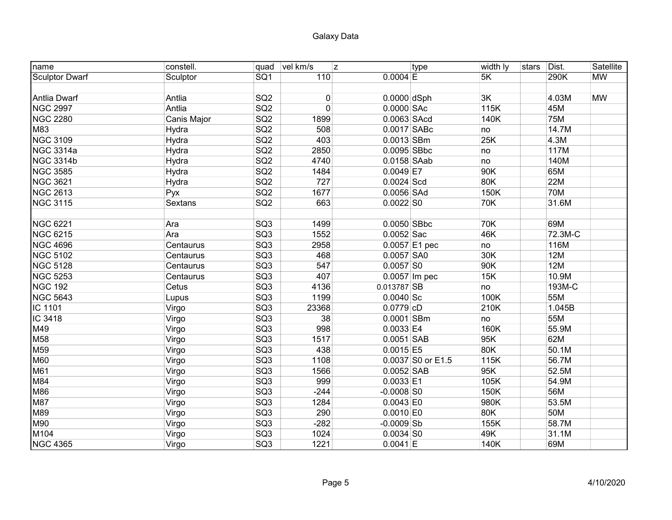| name                  | constell.   | quad            | vel km/s<br>z |               | type              | width ly | stars | Dist.      | Satellite |
|-----------------------|-------------|-----------------|---------------|---------------|-------------------|----------|-------|------------|-----------|
| <b>Sculptor Dwarf</b> | Sculptor    | SQ <sub>1</sub> | 110           | $0.0004$ E    |                   | 5K       |       | 290K       | <b>MW</b> |
|                       |             |                 |               |               |                   |          |       |            |           |
| Antlia Dwarf          | Antlia      | SQ <sub>2</sub> | 0             | $0.0000$ dSph |                   | 3K       |       | 4.03M      | <b>MW</b> |
| <b>NGC 2997</b>       | Antlia      | SQ2             | $\mathbf 0$   | 0.0000 SAc    |                   | 115K     |       | 45M        |           |
| <b>NGC 2280</b>       | Canis Major | SG2             | 1899          | 0.0063 SAcd   |                   | 140K     |       | <b>75M</b> |           |
| M83                   | Hydra       | SQ2             | 508           | $0.0017$ SABc |                   | no       |       | 14.7M      |           |
| <b>NGC 3109</b>       | Hydra       | SQ2             | 403           | $0.0013$ SBm  |                   | 25K      |       | 4.3M       |           |
| <b>NGC 3314a</b>      | Hydra       | SQ2             | 2850          | $0.0095$ SBbc |                   | no       |       | 117M       |           |
| <b>NGC 3314b</b>      | Hydra       | SQ <sub>2</sub> | 4740          | $0.0158$ SAab |                   | no       |       | 140M       |           |
| <b>NGC 3585</b>       | Hydra       | SQ <sub>2</sub> | 1484          | $0.0049$ E7   |                   | 90K      |       | 65M        |           |
| <b>NGC 3621</b>       | Hydra       | SQ <sub>2</sub> | 727           | $0.0024$ Scd  |                   | 80K      |       | 22M        |           |
| <b>NGC 2613</b>       | Pyx         | SQ <sub>2</sub> | 1677          | $0.0056$ SAd  |                   | 150K     |       | <b>70M</b> |           |
| <b>NGC 3115</b>       | Sextans     | SQ <sub>2</sub> | 663           | $0.0022$ SO   |                   | 70K      |       | 31.6M      |           |
|                       |             |                 |               |               |                   |          |       |            |           |
| <b>NGC 6221</b>       | Ara         | SQ <sub>3</sub> | 1499          | $0.0050$ SBbc |                   | 70K      |       | 69M        |           |
| <b>NGC 6215</b>       | Ara         | SQ <sub>3</sub> | 1552          | $0.0052$ Sac  |                   | 46K      |       | 72.3M-C    |           |
| <b>NGC 4696</b>       | Centaurus   | SQ <sub>3</sub> | 2958          |               | 0.0057 E1 pec     | no       |       | 116M       |           |
| <b>NGC 5102</b>       | Centaurus   | SQ3             | 468           | $0.0057$ SA0  |                   | 30K      |       | <b>12M</b> |           |
| <b>NGC 5128</b>       | Centaurus   | SQ3             | 547           | $0.0057$ SO   |                   | 90K      |       | 12M        |           |
| <b>NGC 5253</b>       | Centaurus   | SQ <sub>3</sub> | 407           |               | $0.0057$ Im pec   | 15K      |       | 10.9M      |           |
| <b>NGC 192</b>        | Cetus       | SQ <sub>3</sub> | 4136          | $0.013787$ SB |                   | no       |       | 193M-C     |           |
| <b>NGC 5643</b>       | Lupus       | SQ <sub>3</sub> | 1199          | $0.0040$ Sc   |                   | 100K     |       | 55M        |           |
| IC 1101               | Virgo       | SQ <sub>3</sub> | 23368         | $0.0779$ cD   |                   | 210K     |       | 1.045B     |           |
| IC 3418               | Virgo       | SQ <sub>3</sub> | 38            | $0.0001$ SBm  |                   | no       |       | 55M        |           |
| M49                   | Virgo       | SQ <sub>3</sub> | 998           | $0.0033$ E4   |                   | 160K     |       | 55.9M      |           |
| M58                   | Virgo       | SQ <sub>3</sub> | 1517          | $0.0051$ SAB  |                   | 95K      |       | 62M        |           |
| M59                   | Virgo       | SQ <sub>3</sub> | 438           | $0.0015$ E5   |                   | 80K      |       | 50.1M      |           |
| <b>M60</b>            | Virgo       | SQ3             | 1108          |               | 0.0037 S0 or E1.5 | 115K     |       | 56.7M      |           |
| M61                   | Virgo       | SQ3             | 1566          | $0.0052$ SAB  |                   | 95K      |       | 52.5M      |           |
| M84                   | Virgo       | SQ3             | 999           | $0.0033$ E1   |                   | 105K     |       | 54.9M      |           |
| M86                   | Virgo       | SQ3             | $-244$        | $-0.0008$ SO  |                   | 150K     |       | 56M        |           |
| M87                   | Virgo       | SQ3             | 1284          | $0.0043$ EO   |                   | 980K     |       | 53.5M      |           |
| M89                   | Virgo       | SQ3             | 290           | $0.0010$ E0   |                   | 80K      |       | 50M        |           |
| M90                   | Virgo       | SQ3             | $-282$        | $-0.0009$ Sb  |                   | 155K     |       | 58.7M      |           |
| M104                  | Virgo       | SQ3             | 1024          | $0.0034$ SO   |                   | 49K      |       | 31.1M      |           |
| <b>NGC 4365</b>       | Virgo       | SQ <sub>3</sub> | 1221          | $0.0041$ E    |                   | 140K     |       | 69M        |           |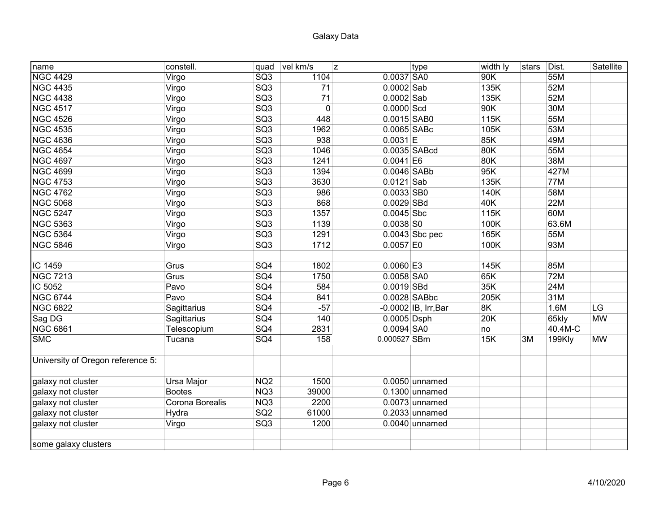| name                              | constell.       | quad            | vel km/s    | z             | type                 | width ly | stars | Dist.      | Satellite |
|-----------------------------------|-----------------|-----------------|-------------|---------------|----------------------|----------|-------|------------|-----------|
| <b>NGC 4429</b>                   | Virgo           | SQ <sub>3</sub> | 1104        | $0.0037$ SA0  |                      | 90K      |       | 55M        |           |
| <b>NGC 4435</b>                   | Virgo           | SQ3             | 71          | $0.0002$ Sab  |                      | 135K     |       | 52M        |           |
| <b>NGC 4438</b>                   | Virgo           | SQ3             | 71          | $0.0002$ Sab  |                      | 135K     |       | 52M        |           |
| <b>NGC 4517</b>                   | Virgo           | SQ3             | $\mathbf 0$ | 0.0000 Scd    |                      | 90K      |       | 30M        |           |
| <b>NGC 4526</b>                   | Virgo           | SG3             | 448         | 0.0015 SAB0   |                      | 115K     |       | 55M        |           |
| <b>NGC 4535</b>                   | Virgo           | SG3             | 1962        | 0.0065 SABc   |                      | 105K     |       | 53M        |           |
| <b>NGC 4636</b>                   | Virgo           | SQ3             | 938         | $0.0031$  E   |                      | 85K      |       | 49M        |           |
| <b>NGC 4654</b>                   | Virgo           | SG3             | 1046        |               | 0.0035 SABcd         | 80K      |       | 55M        |           |
| <b>NGC 4697</b>                   | Virgo           | SQ3             | 1241        | $0.0041$ E6   |                      | 80K      |       | 38M        |           |
| <b>NGC 4699</b>                   | Virgo           | SQ <sub>3</sub> | 1394        | $0.0046$ SABb |                      | 95K      |       | 427M       |           |
| <b>NGC 4753</b>                   | Virgo           | SQ <sub>3</sub> | 3630        | $0.0121$ Sab  |                      | 135K     |       | 77M        |           |
| <b>NGC 4762</b>                   | Virgo           | SQ <sub>3</sub> | 986         | $0.0033$ SB0  |                      | 140K     |       | 58M        |           |
| <b>NGC 5068</b>                   | Virgo           | SQ <sub>3</sub> | 868         | $0.0029$ SBd  |                      | 40K      |       | <b>22M</b> |           |
| <b>NGC 5247</b>                   | Virgo           | SQ <sub>3</sub> | 1357        | $0.0045$ Sbc  |                      | 115K     |       | 60M        |           |
| <b>NGC 5363</b>                   | Virgo           | SQ <sub>3</sub> | 1139        | $0.0038$ SO   |                      | 100K     |       | 63.6M      |           |
| <b>NGC 5364</b>                   | Virgo           | SQ <sub>3</sub> | 1291        |               | $0.0043$ Sbc pec     | 165K     |       | 55M        |           |
| <b>NGC 5846</b>                   | Virgo           | SQ <sub>3</sub> | 1712        | $0.0057$ E0   |                      | 100K     |       | 93M        |           |
|                                   |                 |                 |             |               |                      |          |       |            |           |
| IC 1459                           | Grus            | SQ4             | 1802        | $0.0060$ E3   |                      | 145K     |       | 85M        |           |
| <b>NGC 7213</b>                   | Grus            | SQ4             | 1750        | $0.0058$ SA0  |                      | 65K      |       | <b>72M</b> |           |
| IC 5052                           | Pavo            | SQ4             | 584         | $0.0019$ SBd  |                      | 35K      |       | 24M        |           |
| <b>NGC 6744</b>                   | Pavo            | SQ4             | 841         |               | $0.0028$ SABbc       | 205K     |       | 31M        |           |
| <b>NGC 6822</b>                   | Sagittarius     | SQ4             | $-57$       |               | -0.0002 IB, Irr, Bar | 8K       |       | 1.6M       | LG        |
| Sag DG                            | Sagittarius     | SQ4             | 140         | $0.0005$ Dsph |                      | 20K      |       | 65kly      | <b>MW</b> |
| <b>NGC 6861</b>                   | Telescopium     | SQ4             | 2831        | $0.0094$ SA0  |                      | no       |       | 40.4M-C    |           |
| <b>SMC</b>                        | Tucana          | SQ4             | 158         | 0.000527 SBm  |                      | 15K      | 3M    | 199Kly     | <b>MW</b> |
|                                   |                 |                 |             |               |                      |          |       |            |           |
| University of Oregon reference 5: |                 |                 |             |               |                      |          |       |            |           |
| galaxy not cluster                | Ursa Major      | NQ <sub>2</sub> | 1500        |               | $0.0050$ unnamed     |          |       |            |           |
| galaxy not cluster                | <b>Bootes</b>   | NQ3             | 39000       |               | $0.1300$ unnamed     |          |       |            |           |
| galaxy not cluster                | Corona Borealis | NQ3             | 2200        |               | $0.0073$ unnamed     |          |       |            |           |
| galaxy not cluster                | Hydra           | SQ <sub>2</sub> | 61000       |               | $0.2033$ unnamed     |          |       |            |           |
| galaxy not cluster                | Virgo           | SQ3             | 1200        |               | $0.0040$ unnamed     |          |       |            |           |
| some galaxy clusters              |                 |                 |             |               |                      |          |       |            |           |